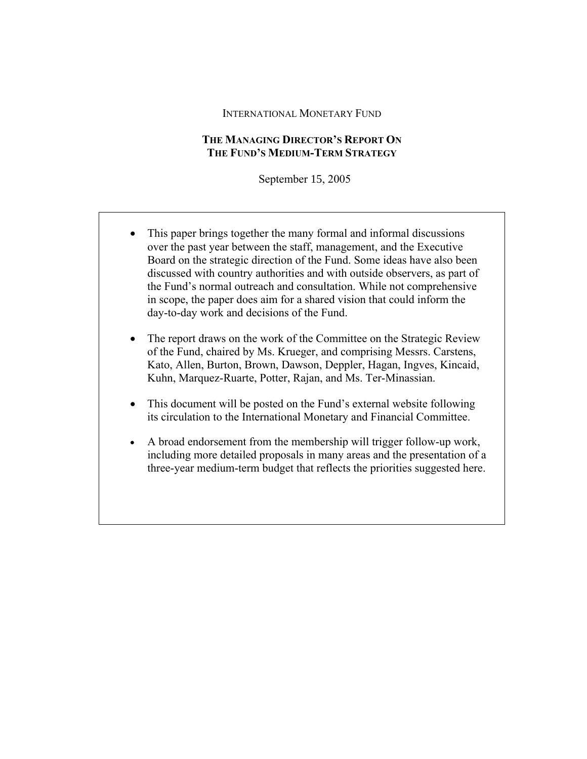#### INTERNATIONAL MONETARY FUND

## **THE MANAGING DIRECTOR'S REPORT ON THE FUND'S MEDIUM-TERM STRATEGY**

September 15, 2005

- This paper brings together the many formal and informal discussions over the past year between the staff, management, and the Executive Board on the strategic direction of the Fund. Some ideas have also been discussed with country authorities and with outside observers, as part of the Fund's normal outreach and consultation. While not comprehensive in scope, the paper does aim for a shared vision that could inform the day-to-day work and decisions of the Fund.
- The report draws on the work of the Committee on the Strategic Review of the Fund, chaired by Ms. Krueger, and comprising Messrs. Carstens, Kato, Allen, Burton, Brown, Dawson, Deppler, Hagan, Ingves, Kincaid, Kuhn, Marquez-Ruarte, Potter, Rajan, and Ms. Ter-Minassian.
- This document will be posted on the Fund's external website following its circulation to the International Monetary and Financial Committee.
- A broad endorsement from the membership will trigger follow-up work, including more detailed proposals in many areas and the presentation of a three-year medium-term budget that reflects the priorities suggested here.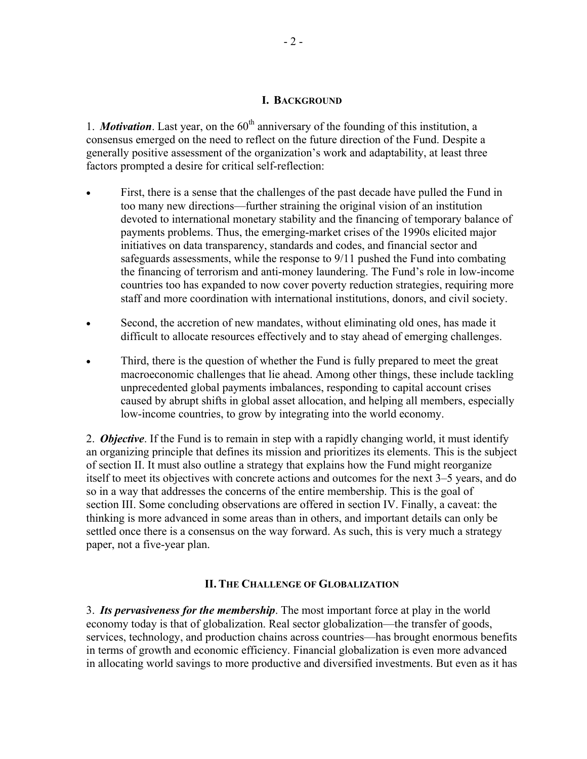#### **I. BACKGROUND**

1. *Motivation*. Last year, on the  $60<sup>th</sup>$  anniversary of the founding of this institution, a consensus emerged on the need to reflect on the future direction of the Fund. Despite a generally positive assessment of the organization's work and adaptability, at least three factors prompted a desire for critical self-reflection:

- First, there is a sense that the challenges of the past decade have pulled the Fund in too many new directions—further straining the original vision of an institution devoted to international monetary stability and the financing of temporary balance of payments problems. Thus, the emerging-market crises of the 1990s elicited major initiatives on data transparency, standards and codes, and financial sector and safeguards assessments, while the response to 9/11 pushed the Fund into combating the financing of terrorism and anti-money laundering. The Fund's role in low-income countries too has expanded to now cover poverty reduction strategies, requiring more staff and more coordination with international institutions, donors, and civil society.
- Second, the accretion of new mandates, without eliminating old ones, has made it difficult to allocate resources effectively and to stay ahead of emerging challenges.
- Third, there is the question of whether the Fund is fully prepared to meet the great macroeconomic challenges that lie ahead. Among other things, these include tackling unprecedented global payments imbalances, responding to capital account crises caused by abrupt shifts in global asset allocation, and helping all members, especially low-income countries, to grow by integrating into the world economy.

2. *Objective*. If the Fund is to remain in step with a rapidly changing world, it must identify an organizing principle that defines its mission and prioritizes its elements. This is the subject of section II. It must also outline a strategy that explains how the Fund might reorganize itself to meet its objectives with concrete actions and outcomes for the next 3–5 years, and do so in a way that addresses the concerns of the entire membership. This is the goal of section III. Some concluding observations are offered in section IV. Finally, a caveat: the thinking is more advanced in some areas than in others, and important details can only be settled once there is a consensus on the way forward. As such, this is very much a strategy paper, not a five-year plan.

#### **II. THE CHALLENGE OF GLOBALIZATION**

3. *Its pervasiveness for the membership*. The most important force at play in the world economy today is that of globalization. Real sector globalization—the transfer of goods, services, technology, and production chains across countries—has brought enormous benefits in terms of growth and economic efficiency. Financial globalization is even more advanced in allocating world savings to more productive and diversified investments. But even as it has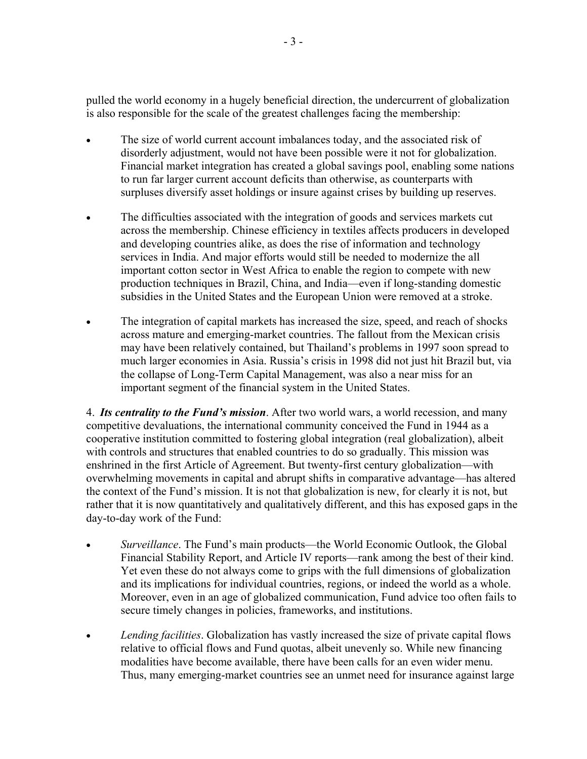pulled the world economy in a hugely beneficial direction, the undercurrent of globalization is also responsible for the scale of the greatest challenges facing the membership:

- The size of world current account imbalances today, and the associated risk of disorderly adjustment, would not have been possible were it not for globalization. Financial market integration has created a global savings pool, enabling some nations to run far larger current account deficits than otherwise, as counterparts with surpluses diversify asset holdings or insure against crises by building up reserves.
- The difficulties associated with the integration of goods and services markets cut across the membership. Chinese efficiency in textiles affects producers in developed and developing countries alike, as does the rise of information and technology services in India. And major efforts would still be needed to modernize the all important cotton sector in West Africa to enable the region to compete with new production techniques in Brazil, China, and India—even if long-standing domestic subsidies in the United States and the European Union were removed at a stroke.
- The integration of capital markets has increased the size, speed, and reach of shocks across mature and emerging-market countries. The fallout from the Mexican crisis may have been relatively contained, but Thailand's problems in 1997 soon spread to much larger economies in Asia. Russia's crisis in 1998 did not just hit Brazil but, via the collapse of Long-Term Capital Management, was also a near miss for an important segment of the financial system in the United States.

4. *Its centrality to the Fund's mission*. After two world wars, a world recession, and many competitive devaluations, the international community conceived the Fund in 1944 as a cooperative institution committed to fostering global integration (real globalization), albeit with controls and structures that enabled countries to do so gradually. This mission was enshrined in the first Article of Agreement. But twenty-first century globalization—with overwhelming movements in capital and abrupt shifts in comparative advantage—has altered the context of the Fund's mission. It is not that globalization is new, for clearly it is not, but rather that it is now quantitatively and qualitatively different, and this has exposed gaps in the day-to-day work of the Fund:

- *Surveillance*. The Fund's main products—the World Economic Outlook, the Global Financial Stability Report, and Article IV reports—rank among the best of their kind. Yet even these do not always come to grips with the full dimensions of globalization and its implications for individual countries, regions, or indeed the world as a whole. Moreover, even in an age of globalized communication, Fund advice too often fails to secure timely changes in policies, frameworks, and institutions.
- *Lending facilities*. Globalization has vastly increased the size of private capital flows relative to official flows and Fund quotas, albeit unevenly so. While new financing modalities have become available, there have been calls for an even wider menu. Thus, many emerging-market countries see an unmet need for insurance against large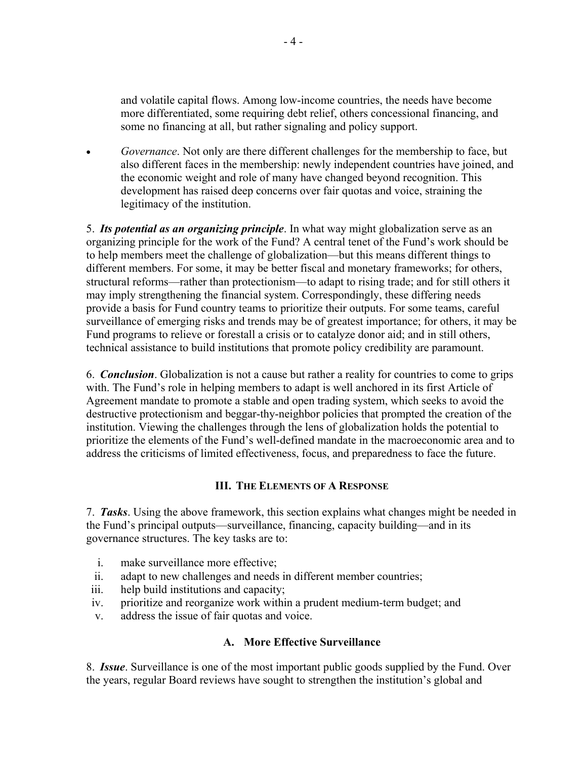and volatile capital flows. Among low-income countries, the needs have become more differentiated, some requiring debt relief, others concessional financing, and some no financing at all, but rather signaling and policy support.

• *Governance*. Not only are there different challenges for the membership to face, but also different faces in the membership: newly independent countries have joined, and the economic weight and role of many have changed beyond recognition. This development has raised deep concerns over fair quotas and voice, straining the legitimacy of the institution.

5. *Its potential as an organizing principle*. In what way might globalization serve as an organizing principle for the work of the Fund? A central tenet of the Fund's work should be to help members meet the challenge of globalization—but this means different things to different members. For some, it may be better fiscal and monetary frameworks; for others, structural reforms—rather than protectionism—to adapt to rising trade; and for still others it may imply strengthening the financial system. Correspondingly, these differing needs provide a basis for Fund country teams to prioritize their outputs. For some teams, careful surveillance of emerging risks and trends may be of greatest importance; for others, it may be Fund programs to relieve or forestall a crisis or to catalyze donor aid; and in still others, technical assistance to build institutions that promote policy credibility are paramount.

6. *Conclusion*. Globalization is not a cause but rather a reality for countries to come to grips with. The Fund's role in helping members to adapt is well anchored in its first Article of Agreement mandate to promote a stable and open trading system, which seeks to avoid the destructive protectionism and beggar-thy-neighbor policies that prompted the creation of the institution. Viewing the challenges through the lens of globalization holds the potential to prioritize the elements of the Fund's well-defined mandate in the macroeconomic area and to address the criticisms of limited effectiveness, focus, and preparedness to face the future.

# **III. THE ELEMENTS OF A RESPONSE**

7. *Tasks*. Using the above framework, this section explains what changes might be needed in the Fund's principal outputs—surveillance, financing, capacity building—and in its governance structures. The key tasks are to:

- i. make surveillance more effective;
- ii. adapt to new challenges and needs in different member countries;
- iii. help build institutions and capacity;
- iv. prioritize and reorganize work within a prudent medium-term budget; and
- v. address the issue of fair quotas and voice.

## **A. More Effective Surveillance**

8. *Issue*. Surveillance is one of the most important public goods supplied by the Fund. Over the years, regular Board reviews have sought to strengthen the institution's global and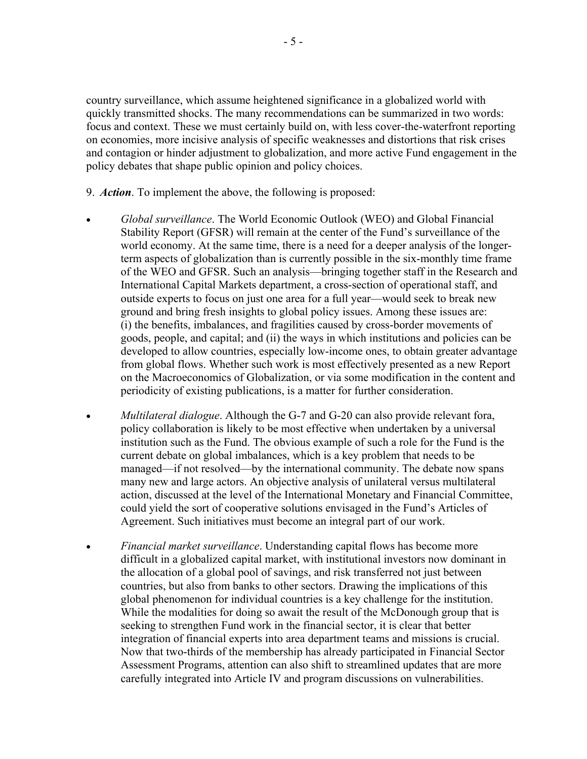country surveillance, which assume heightened significance in a globalized world with quickly transmitted shocks. The many recommendations can be summarized in two words: focus and context. These we must certainly build on, with less cover-the-waterfront reporting on economies, more incisive analysis of specific weaknesses and distortions that risk crises and contagion or hinder adjustment to globalization, and more active Fund engagement in the policy debates that shape public opinion and policy choices.

- 9. *Action*. To implement the above, the following is proposed:
- *Global surveillance*. The World Economic Outlook (WEO) and Global Financial Stability Report (GFSR) will remain at the center of the Fund's surveillance of the world economy. At the same time, there is a need for a deeper analysis of the longerterm aspects of globalization than is currently possible in the six-monthly time frame of the WEO and GFSR. Such an analysis—bringing together staff in the Research and International Capital Markets department, a cross-section of operational staff, and outside experts to focus on just one area for a full year—would seek to break new ground and bring fresh insights to global policy issues. Among these issues are: (i) the benefits, imbalances, and fragilities caused by cross-border movements of goods, people, and capital; and (ii) the ways in which institutions and policies can be developed to allow countries, especially low-income ones, to obtain greater advantage from global flows. Whether such work is most effectively presented as a new Report on the Macroeconomics of Globalization, or via some modification in the content and periodicity of existing publications, is a matter for further consideration.
- *Multilateral dialogue*. Although the G-7 and G-20 can also provide relevant fora, policy collaboration is likely to be most effective when undertaken by a universal institution such as the Fund. The obvious example of such a role for the Fund is the current debate on global imbalances, which is a key problem that needs to be managed—if not resolved—by the international community. The debate now spans many new and large actors. An objective analysis of unilateral versus multilateral action, discussed at the level of the International Monetary and Financial Committee, could yield the sort of cooperative solutions envisaged in the Fund's Articles of Agreement. Such initiatives must become an integral part of our work.
- *Financial market surveillance*. Understanding capital flows has become more difficult in a globalized capital market, with institutional investors now dominant in the allocation of a global pool of savings, and risk transferred not just between countries, but also from banks to other sectors. Drawing the implications of this global phenomenon for individual countries is a key challenge for the institution. While the modalities for doing so await the result of the McDonough group that is seeking to strengthen Fund work in the financial sector, it is clear that better integration of financial experts into area department teams and missions is crucial. Now that two-thirds of the membership has already participated in Financial Sector Assessment Programs, attention can also shift to streamlined updates that are more carefully integrated into Article IV and program discussions on vulnerabilities.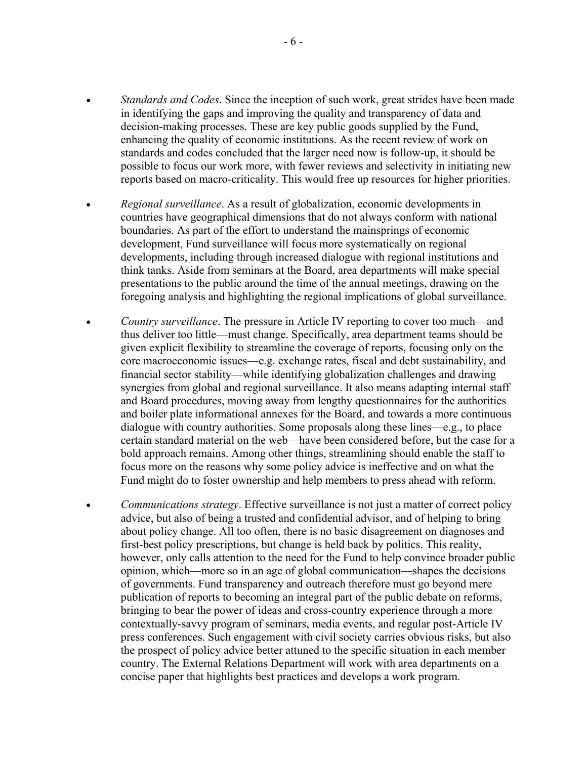- *Standards and Codes*. Since the inception of such work, great strides have been made in identifying the gaps and improving the quality and transparency of data and decision-making processes. These are key public goods supplied by the Fund, enhancing the quality of economic institutions. As the recent review of work on standards and codes concluded that the larger need now is follow-up, it should be possible to focus our work more, with fewer reviews and selectivity in initiating new reports based on macro-criticality. This would free up resources for higher priorities.
- *Regional surveillance*. As a result of globalization, economic developments in countries have geographical dimensions that do not always conform with national boundaries. As part of the effort to understand the mainsprings of economic development, Fund surveillance will focus more systematically on regional developments, including through increased dialogue with regional institutions and think tanks. Aside from seminars at the Board, area departments will make special presentations to the public around the time of the annual meetings, drawing on the foregoing analysis and highlighting the regional implications of global surveillance.
- *Country surveillance*. The pressure in Article IV reporting to cover too much—and thus deliver too little—must change. Specifically, area department teams should be given explicit flexibility to streamline the coverage of reports, focusing only on the core macroeconomic issues—e.g. exchange rates, fiscal and debt sustainability, and financial sector stability—while identifying globalization challenges and drawing synergies from global and regional surveillance. It also means adapting internal staff and Board procedures, moving away from lengthy questionnaires for the authorities and boiler plate informational annexes for the Board, and towards a more continuous dialogue with country authorities. Some proposals along these lines—e.g., to place certain standard material on the web—have been considered before, but the case for a bold approach remains. Among other things, streamlining should enable the staff to focus more on the reasons why some policy advice is ineffective and on what the Fund might do to foster ownership and help members to press ahead with reform.
- *Communications strategy*. Effective surveillance is not just a matter of correct policy advice, but also of being a trusted and confidential advisor, and of helping to bring about policy change. All too often, there is no basic disagreement on diagnoses and first-best policy prescriptions, but change is held back by politics. This reality, however, only calls attention to the need for the Fund to help convince broader public opinion, which—more so in an age of global communication—shapes the decisions of governments. Fund transparency and outreach therefore must go beyond mere publication of reports to becoming an integral part of the public debate on reforms, bringing to bear the power of ideas and cross-country experience through a more contextually-savvy program of seminars, media events, and regular post-Article IV press conferences. Such engagement with civil society carries obvious risks, but also the prospect of policy advice better attuned to the specific situation in each member country. The External Relations Department will work with area departments on a concise paper that highlights best practices and develops a work program.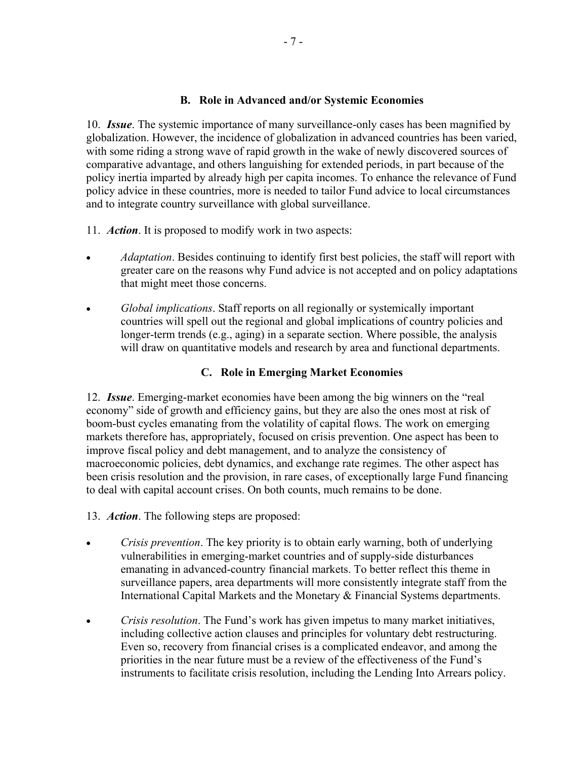## **B. Role in Advanced and/or Systemic Economies**

10. *Issue*. The systemic importance of many surveillance-only cases has been magnified by globalization. However, the incidence of globalization in advanced countries has been varied, with some riding a strong wave of rapid growth in the wake of newly discovered sources of comparative advantage, and others languishing for extended periods, in part because of the policy inertia imparted by already high per capita incomes. To enhance the relevance of Fund policy advice in these countries, more is needed to tailor Fund advice to local circumstances and to integrate country surveillance with global surveillance.

- 11. *Action*. It is proposed to modify work in two aspects:
- *Adaptation*. Besides continuing to identify first best policies, the staff will report with greater care on the reasons why Fund advice is not accepted and on policy adaptations that might meet those concerns.
- *Global implications*. Staff reports on all regionally or systemically important countries will spell out the regional and global implications of country policies and longer-term trends (e.g., aging) in a separate section. Where possible, the analysis will draw on quantitative models and research by area and functional departments.

# **C. Role in Emerging Market Economies**

12. *Issue*. Emerging-market economies have been among the big winners on the "real economy" side of growth and efficiency gains, but they are also the ones most at risk of boom-bust cycles emanating from the volatility of capital flows. The work on emerging markets therefore has, appropriately, focused on crisis prevention. One aspect has been to improve fiscal policy and debt management, and to analyze the consistency of macroeconomic policies, debt dynamics, and exchange rate regimes. The other aspect has been crisis resolution and the provision, in rare cases, of exceptionally large Fund financing to deal with capital account crises. On both counts, much remains to be done.

- 13. *Action*. The following steps are proposed:
- *Crisis prevention*. The key priority is to obtain early warning, both of underlying vulnerabilities in emerging-market countries and of supply-side disturbances emanating in advanced-country financial markets. To better reflect this theme in surveillance papers, area departments will more consistently integrate staff from the International Capital Markets and the Monetary & Financial Systems departments.
- *Crisis resolution*. The Fund's work has given impetus to many market initiatives, including collective action clauses and principles for voluntary debt restructuring. Even so, recovery from financial crises is a complicated endeavor, and among the priorities in the near future must be a review of the effectiveness of the Fund's instruments to facilitate crisis resolution, including the Lending Into Arrears policy.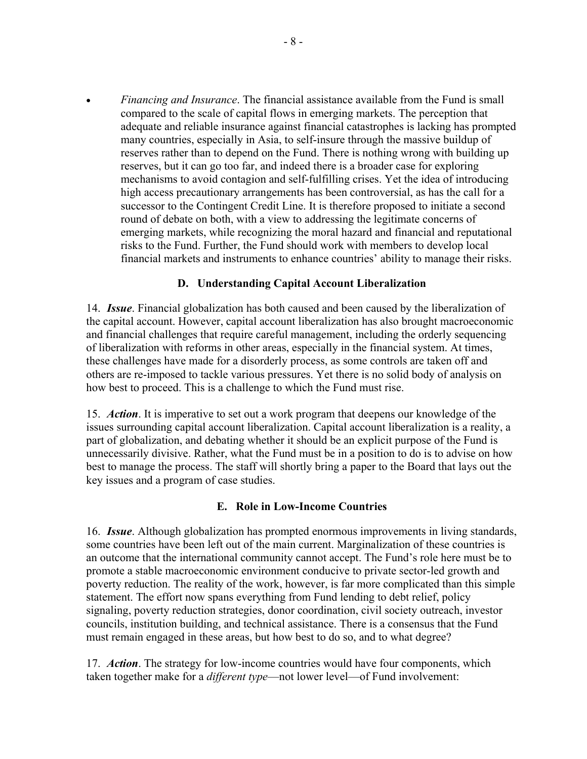• *Financing and Insurance*. The financial assistance available from the Fund is small compared to the scale of capital flows in emerging markets. The perception that adequate and reliable insurance against financial catastrophes is lacking has prompted many countries, especially in Asia, to self-insure through the massive buildup of reserves rather than to depend on the Fund. There is nothing wrong with building up reserves, but it can go too far, and indeed there is a broader case for exploring mechanisms to avoid contagion and self-fulfilling crises. Yet the idea of introducing high access precautionary arrangements has been controversial, as has the call for a successor to the Contingent Credit Line. It is therefore proposed to initiate a second round of debate on both, with a view to addressing the legitimate concerns of emerging markets, while recognizing the moral hazard and financial and reputational risks to the Fund. Further, the Fund should work with members to develop local financial markets and instruments to enhance countries' ability to manage their risks.

## **D. Understanding Capital Account Liberalization**

14. *Issue*. Financial globalization has both caused and been caused by the liberalization of the capital account. However, capital account liberalization has also brought macroeconomic and financial challenges that require careful management, including the orderly sequencing of liberalization with reforms in other areas, especially in the financial system. At times, these challenges have made for a disorderly process, as some controls are taken off and others are re-imposed to tackle various pressures. Yet there is no solid body of analysis on how best to proceed. This is a challenge to which the Fund must rise.

15. *Action*. It is imperative to set out a work program that deepens our knowledge of the issues surrounding capital account liberalization. Capital account liberalization is a reality, a part of globalization, and debating whether it should be an explicit purpose of the Fund is unnecessarily divisive. Rather, what the Fund must be in a position to do is to advise on how best to manage the process. The staff will shortly bring a paper to the Board that lays out the key issues and a program of case studies.

#### **E. Role in Low-Income Countries**

16. *Issue*. Although globalization has prompted enormous improvements in living standards, some countries have been left out of the main current. Marginalization of these countries is an outcome that the international community cannot accept. The Fund's role here must be to promote a stable macroeconomic environment conducive to private sector-led growth and poverty reduction. The reality of the work, however, is far more complicated than this simple statement. The effort now spans everything from Fund lending to debt relief, policy signaling, poverty reduction strategies, donor coordination, civil society outreach, investor councils, institution building, and technical assistance. There is a consensus that the Fund must remain engaged in these areas, but how best to do so, and to what degree?

17. *Action*. The strategy for low-income countries would have four components, which taken together make for a *different type*—not lower level—of Fund involvement: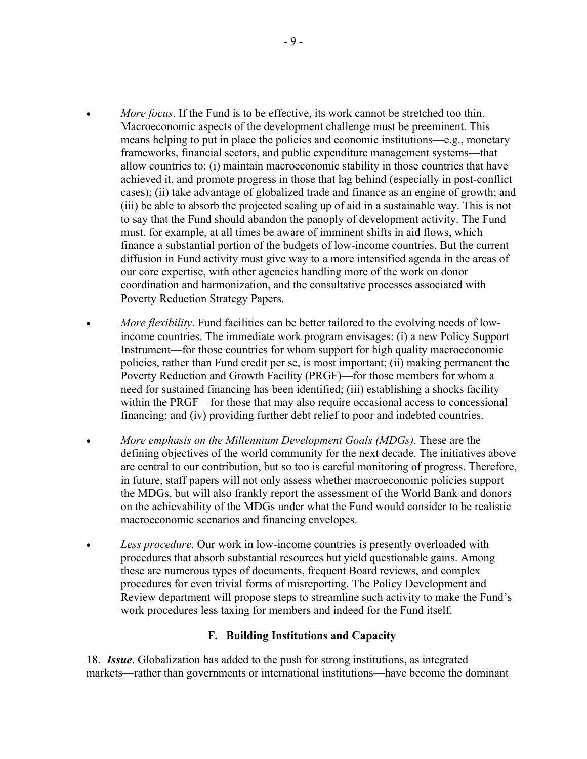- *More focus*. If the Fund is to be effective, its work cannot be stretched too thin. Macroeconomic aspects of the development challenge must be preeminent. This means helping to put in place the policies and economic institutions—e.g., monetary frameworks, financial sectors, and public expenditure management systems—that allow countries to: (i) maintain macroeconomic stability in those countries that have achieved it, and promote progress in those that lag behind (especially in post-conflict cases); (ii) take advantage of globalized trade and finance as an engine of growth; and (iii) be able to absorb the projected scaling up of aid in a sustainable way. This is not to say that the Fund should abandon the panoply of development activity. The Fund must, for example, at all times be aware of imminent shifts in aid flows, which finance a substantial portion of the budgets of low-income countries. But the current diffusion in Fund activity must give way to a more intensified agenda in the areas of our core expertise, with other agencies handling more of the work on donor coordination and harmonization, and the consultative processes associated with Poverty Reduction Strategy Papers.
- *More flexibility*. Fund facilities can be better tailored to the evolving needs of lowincome countries. The immediate work program envisages: (i) a new Policy Support Instrument—for those countries for whom support for high quality macroeconomic policies, rather than Fund credit per se, is most important; (ii) making permanent the Poverty Reduction and Growth Facility (PRGF)—for those members for whom a need for sustained financing has been identified; (iii) establishing a shocks facility within the PRGF—for those that may also require occasional access to concessional financing; and (iv) providing further debt relief to poor and indebted countries.
- *More emphasis on the Millennium Development Goals (MDGs)*. These are the defining objectives of the world community for the next decade. The initiatives above are central to our contribution, but so too is careful monitoring of progress. Therefore, in future, staff papers will not only assess whether macroeconomic policies support the MDGs, but will also frankly report the assessment of the World Bank and donors on the achievability of the MDGs under what the Fund would consider to be realistic macroeconomic scenarios and financing envelopes.
- *Less procedure*. Our work in low-income countries is presently overloaded with procedures that absorb substantial resources but yield questionable gains. Among these are numerous types of documents, frequent Board reviews, and complex procedures for even trivial forms of misreporting. The Policy Development and Review department will propose steps to streamline such activity to make the Fund's work procedures less taxing for members and indeed for the Fund itself.

## **F. Building Institutions and Capacity**

18. *Issue*. Globalization has added to the push for strong institutions, as integrated markets—rather than governments or international institutions—have become the dominant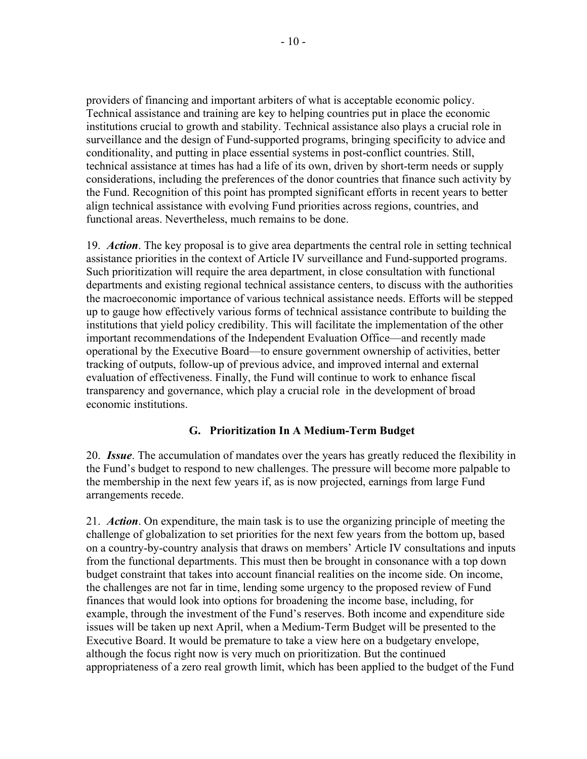providers of financing and important arbiters of what is acceptable economic policy. Technical assistance and training are key to helping countries put in place the economic institutions crucial to growth and stability. Technical assistance also plays a crucial role in surveillance and the design of Fund-supported programs, bringing specificity to advice and conditionality, and putting in place essential systems in post-conflict countries. Still, technical assistance at times has had a life of its own, driven by short-term needs or supply considerations, including the preferences of the donor countries that finance such activity by the Fund. Recognition of this point has prompted significant efforts in recent years to better align technical assistance with evolving Fund priorities across regions, countries, and functional areas. Nevertheless, much remains to be done.

19. *Action*. The key proposal is to give area departments the central role in setting technical assistance priorities in the context of Article IV surveillance and Fund-supported programs. Such prioritization will require the area department, in close consultation with functional departments and existing regional technical assistance centers, to discuss with the authorities the macroeconomic importance of various technical assistance needs. Efforts will be stepped up to gauge how effectively various forms of technical assistance contribute to building the institutions that yield policy credibility. This will facilitate the implementation of the other important recommendations of the Independent Evaluation Office—and recently made operational by the Executive Board—to ensure government ownership of activities, better tracking of outputs, follow-up of previous advice, and improved internal and external evaluation of effectiveness. Finally, the Fund will continue to work to enhance fiscal transparency and governance, which play a crucial role in the development of broad economic institutions.

# **G. Prioritization In A Medium-Term Budget**

20. *Issue*. The accumulation of mandates over the years has greatly reduced the flexibility in the Fund's budget to respond to new challenges. The pressure will become more palpable to the membership in the next few years if, as is now projected, earnings from large Fund arrangements recede.

21. *Action*. On expenditure, the main task is to use the organizing principle of meeting the challenge of globalization to set priorities for the next few years from the bottom up, based on a country-by-country analysis that draws on members' Article IV consultations and inputs from the functional departments. This must then be brought in consonance with a top down budget constraint that takes into account financial realities on the income side. On income, the challenges are not far in time, lending some urgency to the proposed review of Fund finances that would look into options for broadening the income base, including, for example, through the investment of the Fund's reserves. Both income and expenditure side issues will be taken up next April, when a Medium-Term Budget will be presented to the Executive Board. It would be premature to take a view here on a budgetary envelope, although the focus right now is very much on prioritization. But the continued appropriateness of a zero real growth limit, which has been applied to the budget of the Fund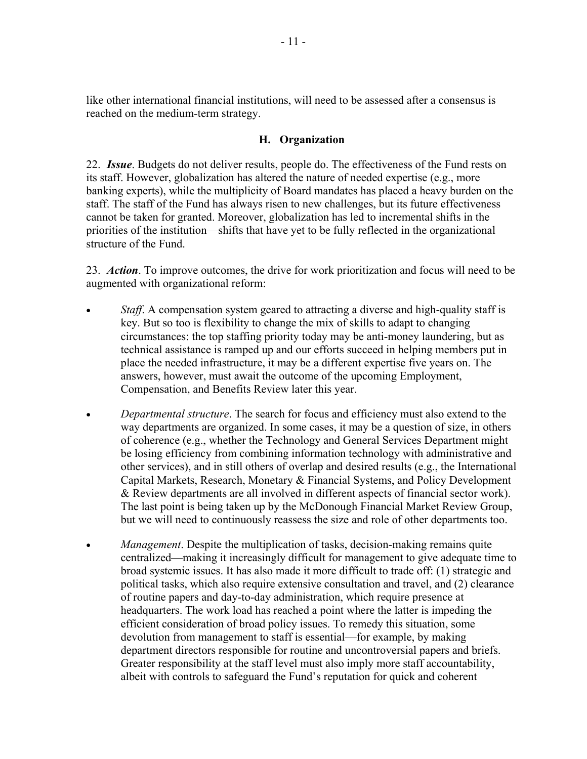like other international financial institutions, will need to be assessed after a consensus is reached on the medium-term strategy.

## **H. Organization**

22. *Issue*. Budgets do not deliver results, people do. The effectiveness of the Fund rests on its staff. However, globalization has altered the nature of needed expertise (e.g., more banking experts), while the multiplicity of Board mandates has placed a heavy burden on the staff. The staff of the Fund has always risen to new challenges, but its future effectiveness cannot be taken for granted. Moreover, globalization has led to incremental shifts in the priorities of the institution—shifts that have yet to be fully reflected in the organizational structure of the Fund.

23. *Action*. To improve outcomes, the drive for work prioritization and focus will need to be augmented with organizational reform:

- *Staff.* A compensation system geared to attracting a diverse and high-quality staff is key. But so too is flexibility to change the mix of skills to adapt to changing circumstances: the top staffing priority today may be anti-money laundering, but as technical assistance is ramped up and our efforts succeed in helping members put in place the needed infrastructure, it may be a different expertise five years on. The answers, however, must await the outcome of the upcoming Employment, Compensation, and Benefits Review later this year.
- *Departmental structure*. The search for focus and efficiency must also extend to the way departments are organized. In some cases, it may be a question of size, in others of coherence (e.g., whether the Technology and General Services Department might be losing efficiency from combining information technology with administrative and other services), and in still others of overlap and desired results (e.g., the International Capital Markets, Research, Monetary & Financial Systems, and Policy Development & Review departments are all involved in different aspects of financial sector work). The last point is being taken up by the McDonough Financial Market Review Group, but we will need to continuously reassess the size and role of other departments too.
- *Management*. Despite the multiplication of tasks, decision-making remains quite centralized—making it increasingly difficult for management to give adequate time to broad systemic issues. It has also made it more difficult to trade off: (1) strategic and political tasks, which also require extensive consultation and travel, and (2) clearance of routine papers and day-to-day administration, which require presence at headquarters. The work load has reached a point where the latter is impeding the efficient consideration of broad policy issues. To remedy this situation, some devolution from management to staff is essential—for example, by making department directors responsible for routine and uncontroversial papers and briefs. Greater responsibility at the staff level must also imply more staff accountability, albeit with controls to safeguard the Fund's reputation for quick and coherent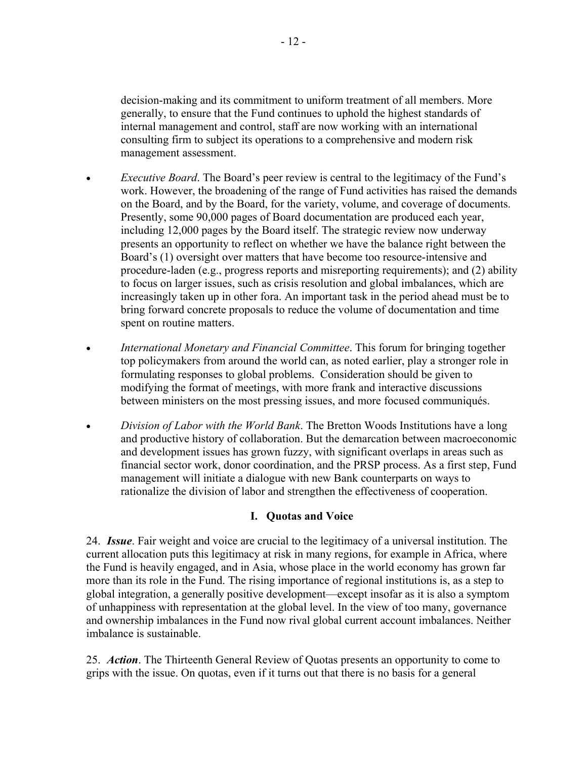decision-making and its commitment to uniform treatment of all members. More generally, to ensure that the Fund continues to uphold the highest standards of internal management and control, staff are now working with an international consulting firm to subject its operations to a comprehensive and modern risk management assessment.

- *Executive Board*. The Board's peer review is central to the legitimacy of the Fund's work. However, the broadening of the range of Fund activities has raised the demands on the Board, and by the Board, for the variety, volume, and coverage of documents. Presently, some 90,000 pages of Board documentation are produced each year, including 12,000 pages by the Board itself. The strategic review now underway presents an opportunity to reflect on whether we have the balance right between the Board's (1) oversight over matters that have become too resource-intensive and procedure-laden (e.g., progress reports and misreporting requirements); and (2) ability to focus on larger issues, such as crisis resolution and global imbalances, which are increasingly taken up in other fora. An important task in the period ahead must be to bring forward concrete proposals to reduce the volume of documentation and time spent on routine matters.
- *International Monetary and Financial Committee*. This forum for bringing together top policymakers from around the world can, as noted earlier, play a stronger role in formulating responses to global problems. Consideration should be given to modifying the format of meetings, with more frank and interactive discussions between ministers on the most pressing issues, and more focused communiqués.
- *Division of Labor with the World Bank*. The Bretton Woods Institutions have a long and productive history of collaboration. But the demarcation between macroeconomic and development issues has grown fuzzy, with significant overlaps in areas such as financial sector work, donor coordination, and the PRSP process. As a first step, Fund management will initiate a dialogue with new Bank counterparts on ways to rationalize the division of labor and strengthen the effectiveness of cooperation.

# **I. Quotas and Voice**

24. *Issue*. Fair weight and voice are crucial to the legitimacy of a universal institution. The current allocation puts this legitimacy at risk in many regions, for example in Africa, where the Fund is heavily engaged, and in Asia, whose place in the world economy has grown far more than its role in the Fund. The rising importance of regional institutions is, as a step to global integration, a generally positive development—except insofar as it is also a symptom of unhappiness with representation at the global level. In the view of too many, governance and ownership imbalances in the Fund now rival global current account imbalances. Neither imbalance is sustainable.

25. *Action*. The Thirteenth General Review of Quotas presents an opportunity to come to grips with the issue. On quotas, even if it turns out that there is no basis for a general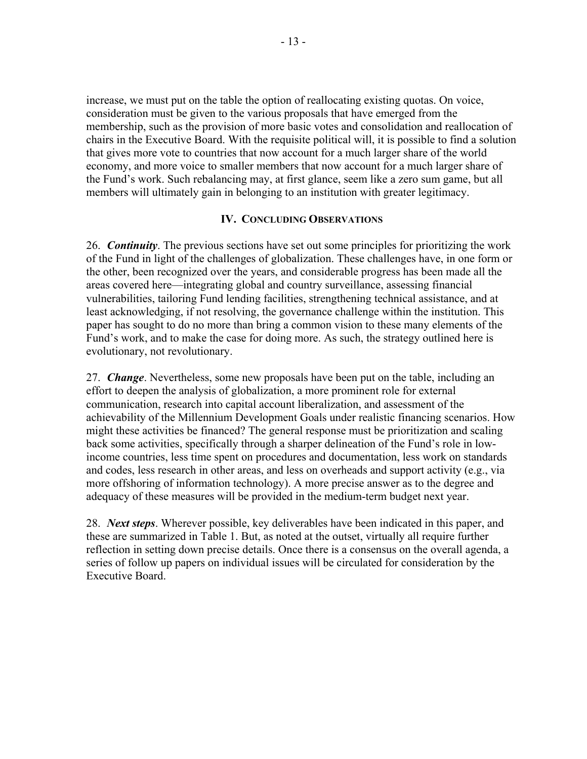increase, we must put on the table the option of reallocating existing quotas. On voice, consideration must be given to the various proposals that have emerged from the membership, such as the provision of more basic votes and consolidation and reallocation of chairs in the Executive Board. With the requisite political will, it is possible to find a solution that gives more vote to countries that now account for a much larger share of the world economy, and more voice to smaller members that now account for a much larger share of the Fund's work. Such rebalancing may, at first glance, seem like a zero sum game, but all members will ultimately gain in belonging to an institution with greater legitimacy.

## **IV. CONCLUDING OBSERVATIONS**

26. *Continuity*. The previous sections have set out some principles for prioritizing the work of the Fund in light of the challenges of globalization. These challenges have, in one form or the other, been recognized over the years, and considerable progress has been made all the areas covered here—integrating global and country surveillance, assessing financial vulnerabilities, tailoring Fund lending facilities, strengthening technical assistance, and at least acknowledging, if not resolving, the governance challenge within the institution. This paper has sought to do no more than bring a common vision to these many elements of the Fund's work, and to make the case for doing more. As such, the strategy outlined here is evolutionary, not revolutionary.

27. *Change*. Nevertheless, some new proposals have been put on the table, including an effort to deepen the analysis of globalization, a more prominent role for external communication, research into capital account liberalization, and assessment of the achievability of the Millennium Development Goals under realistic financing scenarios. How might these activities be financed? The general response must be prioritization and scaling back some activities, specifically through a sharper delineation of the Fund's role in lowincome countries, less time spent on procedures and documentation, less work on standards and codes, less research in other areas, and less on overheads and support activity (e.g., via more offshoring of information technology). A more precise answer as to the degree and adequacy of these measures will be provided in the medium-term budget next year.

28. *Next steps*. Wherever possible, key deliverables have been indicated in this paper, and these are summarized in Table 1. But, as noted at the outset, virtually all require further reflection in setting down precise details. Once there is a consensus on the overall agenda, a series of follow up papers on individual issues will be circulated for consideration by the Executive Board.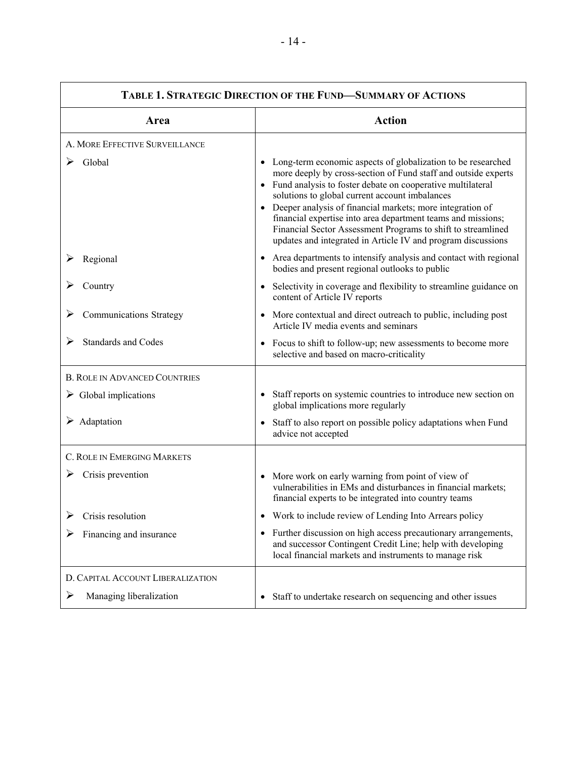| TABLE 1. STRATEGIC DIRECTION OF THE FUND-SUMMARY OF ACTIONS |                                                                                                                                                                                                                                                                                                                                                                                                                                                                                                                      |
|-------------------------------------------------------------|----------------------------------------------------------------------------------------------------------------------------------------------------------------------------------------------------------------------------------------------------------------------------------------------------------------------------------------------------------------------------------------------------------------------------------------------------------------------------------------------------------------------|
| Area                                                        | <b>Action</b>                                                                                                                                                                                                                                                                                                                                                                                                                                                                                                        |
| A. MORE EFFECTIVE SURVEILLANCE                              |                                                                                                                                                                                                                                                                                                                                                                                                                                                                                                                      |
| Global                                                      | Long-term economic aspects of globalization to be researched<br>٠<br>more deeply by cross-section of Fund staff and outside experts<br>• Fund analysis to foster debate on cooperative multilateral<br>solutions to global current account imbalances<br>• Deeper analysis of financial markets; more integration of<br>financial expertise into area department teams and missions;<br>Financial Sector Assessment Programs to shift to streamlined<br>updates and integrated in Article IV and program discussions |
| Regional                                                    | • Area departments to intensify analysis and contact with regional<br>bodies and present regional outlooks to public                                                                                                                                                                                                                                                                                                                                                                                                 |
| Country                                                     | Selectivity in coverage and flexibility to streamline guidance on<br>$\bullet$<br>content of Article IV reports                                                                                                                                                                                                                                                                                                                                                                                                      |
| <b>Communications Strategy</b>                              | More contextual and direct outreach to public, including post<br>$\bullet$<br>Article IV media events and seminars                                                                                                                                                                                                                                                                                                                                                                                                   |
| <b>Standards and Codes</b>                                  | • Focus to shift to follow-up; new assessments to become more<br>selective and based on macro-criticality                                                                                                                                                                                                                                                                                                                                                                                                            |
| <b>B. ROLE IN ADVANCED COUNTRIES</b>                        |                                                                                                                                                                                                                                                                                                                                                                                                                                                                                                                      |
| $\triangleright$ Global implications                        | Staff reports on systemic countries to introduce new section on<br>$\bullet$<br>global implications more regularly                                                                                                                                                                                                                                                                                                                                                                                                   |
| $\triangleright$ Adaptation                                 | Staff to also report on possible policy adaptations when Fund<br>$\bullet$<br>advice not accepted                                                                                                                                                                                                                                                                                                                                                                                                                    |
| C. ROLE IN EMERGING MARKETS                                 |                                                                                                                                                                                                                                                                                                                                                                                                                                                                                                                      |
| Crisis prevention<br>➤                                      | More work on early warning from point of view of<br>$\bullet$<br>vulnerabilities in EMs and disturbances in financial markets;<br>financial experts to be integrated into country teams                                                                                                                                                                                                                                                                                                                              |
| $\triangleright$ Crisis resolution                          | Work to include review of Lending Into Arrears policy                                                                                                                                                                                                                                                                                                                                                                                                                                                                |
| Financing and insurance                                     | • Further discussion on high access precautionary arrangements,<br>and successor Contingent Credit Line; help with developing<br>local financial markets and instruments to manage risk                                                                                                                                                                                                                                                                                                                              |
| D. CAPITAL ACCOUNT LIBERALIZATION                           |                                                                                                                                                                                                                                                                                                                                                                                                                                                                                                                      |
| Managing liberalization<br>➤                                | Staff to undertake research on sequencing and other issues<br>$\bullet$                                                                                                                                                                                                                                                                                                                                                                                                                                              |